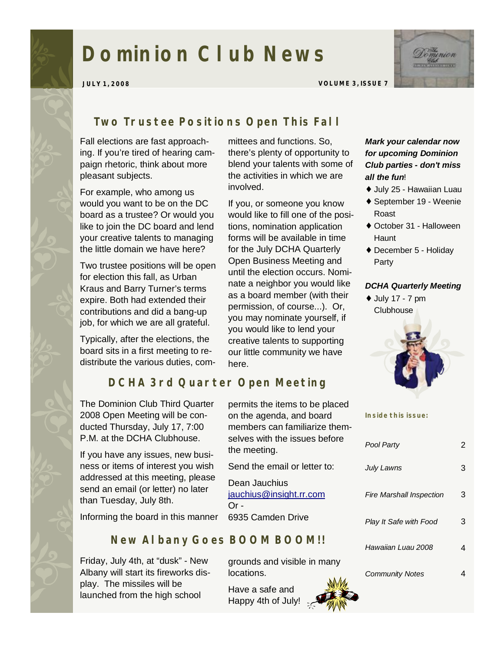# **Dominion Club News**



**JULY 1, 2008 VOLUME 3, ISSUE 7** 

## *Two Trustee Positions Open This Fall*

Fall elections are fast approaching. If you're tired of hearing campaign rhetoric, think about more pleasant subjects.

For example, who among us would you want to be on the DC board as a trustee? Or would you like to join the DC board and lend your creative talents to managing the little domain we have here?

Two trustee positions will be open for election this fall, as Urban Kraus and Barry Turner's terms expire. Both had extended their contributions and did a bang-up job, for which we are all grateful.

Typically, after the elections, the board sits in a first meeting to redistribute the various duties, committees and functions. So, there's plenty of opportunity to blend your talents with some of the activities in which we are involved.

If you, or someone you know would like to fill one of the positions, nomination application forms will be available in time for the July DCHA Quarterly Open Business Meeting and until the election occurs. Nominate a neighbor you would like as a board member (with their permission, of course...). Or, you may nominate yourself, if you would like to lend your creative talents to supporting our little community we have here.

## *DCHA 3rd Quarter Open Meeting*

The Dominion Club Third Quarter 2008 Open Meeting will be conducted Thursday, July 17, 7:00 P.M. at the DCHA Clubhouse.

If you have any issues, new business or items of interest you wish addressed at this meeting, please send an email (or letter) no later than Tuesday, July 8th.

Informing the board in this manner

permits the items to be placed on the agenda, and board members can familiarize themselves with the issues before the meeting.

Send the email or letter to:

Dean Jauchius [jauchius@insight.rr.com](mailto:jauchius@insight.rr.com)  $Or -$ 6935 Camden Drive

## *New Albany Goes BOOM BOOM!!*

Friday, July 4th, at "dusk" - New Albany will start its fireworks display. The missiles will be launched from the high school

grounds and visible in many locations.

Have a safe and Happy 4th of July!



#### *Mark your calendar now for upcoming Dominion Club parties - don't miss all the fun*!

- ♦ July 25 Hawaiian Luau
- ♦ September 19 Weenie Roast
- ♦ October 31 Halloween **Haunt**
- ♦ December 5 Holiday Party

#### *DCHA Quarterly Meeting*

♦ July 17 - 7 pm **Clubhouse** 

**Inside this issue:** 



| <b>Pool Party</b>               | 2 |
|---------------------------------|---|
| <b>July Lawns</b>               | З |
| <b>Fire Marshall Inspection</b> | З |
| Play It Safe with Food          | З |
| Hawaiian Luau 2008              | 4 |
| <b>Community Notes</b>          |   |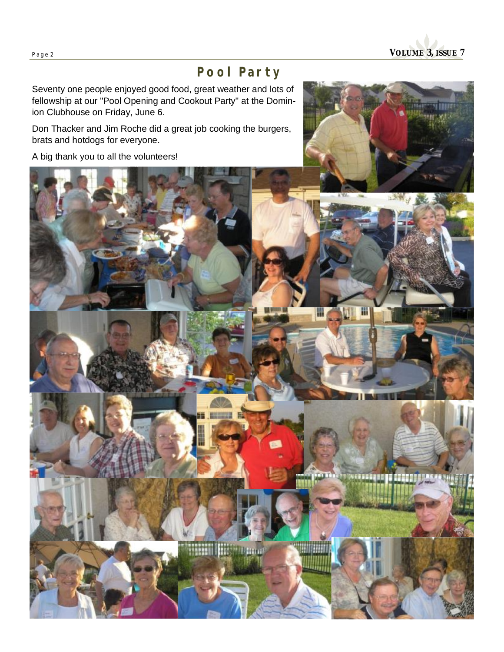## *Pool Party*

Seventy one people enjoyed good food, great weather and lots of fellowship at our "Pool Opening and Cookout Party" at the Dominion Clubhouse on Friday, June 6.

Don Thacker and Jim Roche did a great job cooking the burgers, brats and hotdogs for everyone.

A big thank you to all the volunteers!



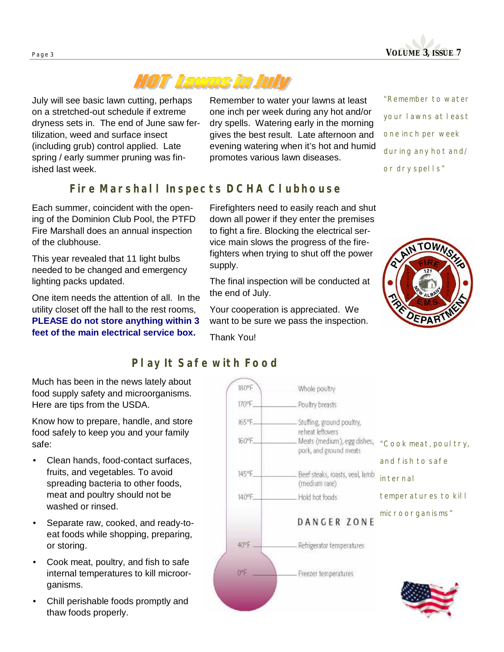



July will see basic lawn cutting, perhaps on a stretched-out schedule if extreme dryness sets in. The end of June saw fertilization, weed and surface insect (including grub) control applied. Late spring / early summer pruning was finished last week.

Remember to water your lawns at least one inch per week during any hot and/or dry spells. Watering early in the morning gives the best result. Late afternoon and evening watering when it's hot and humid promotes various lawn diseases.

*"Remember to water your lawns at least one inch per week during any hot and/ or dry spells"* 

## *Fire Marshall Inspects DCHA Clubhouse*

Each summer, coincident with the opening of the Dominion Club Pool, the PTFD Fire Marshall does an annual inspection of the clubhouse.

This year revealed that 11 light bulbs needed to be changed and emergency lighting packs updated.

One item needs the attention of all. In the utility closet off the hall to the rest rooms, **PLEASE do not store anything within 3 feet of the main electrical service box.**

Firefighters need to easily reach and shut down all power if they enter the premises to fight a fire. Blocking the electrical service main slows the progress of the firefighters when trying to shut off the power supply.

The final inspection will be conducted at the end of July.

Your cooperation is appreciated. We want to be sure we pass the inspection.





## *Play It Safe with Food*

Much has been in the news lately about food supply safety and microorganisms. Here are tips from the USDA.

Know how to prepare, handle, and store food safely to keep you and your family safe:

- Clean hands, food-contact surfaces, fruits, and vegetables. To avoid spreading bacteria to other foods, meat and poultry should not be washed or rinsed.
- Separate raw, cooked, and ready-toeat foods while shopping, preparing, or storing.
- Cook meat, poultry, and fish to safe internal temperatures to kill microorganisms.
- Chill perishable foods promptly and thaw foods properly.